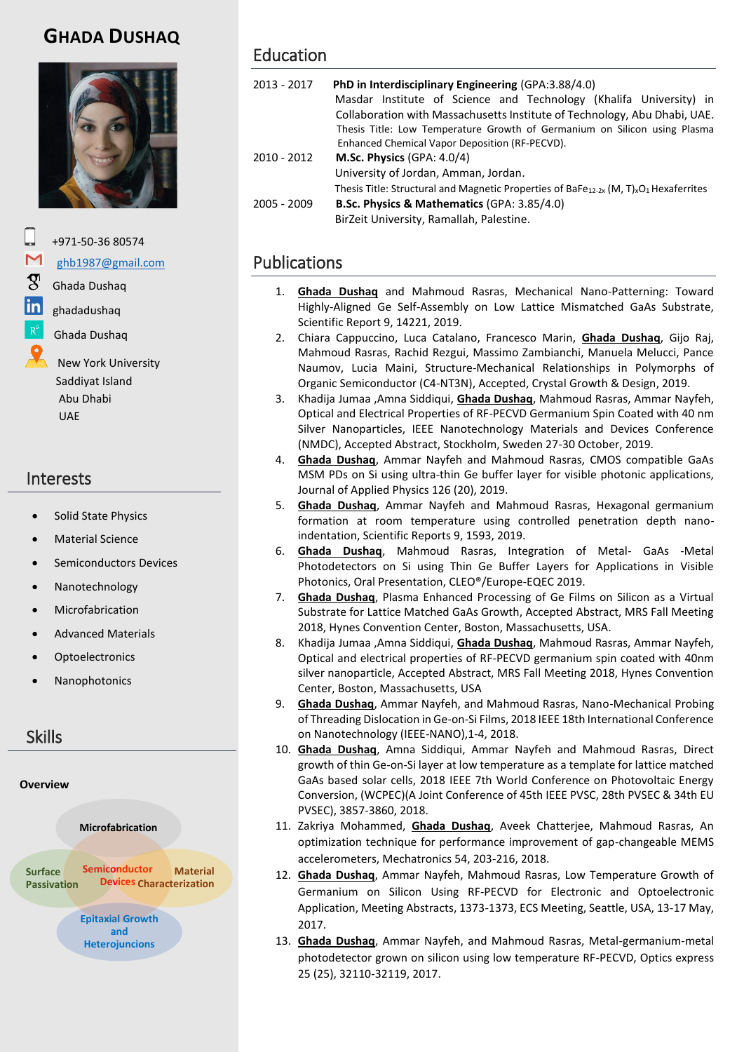# **GHADA DUSHAQ**



+971-50-36 80574

#### [ghb1987@gmail.com](mailto:ghb1987@gmail.com)

Ghada Dushaq

- ghadadushaq
- Ghada Dushaq

 New York University Saddiyat Island Abu Dhabi UAE

### Interests

- Solid State Physics
- Material Science
- Semiconductors Devices
- Nanotechnology
- Microfabrication
- Advanced Materials
- **Optoelectronics**
- Nanophotonics

## Skills



## Education

| 2013 - 2017 | <b>PhD in Interdisciplinary Engineering (GPA:3.88/4.0)</b><br>Masdar Institute of Science and Technology (Khalifa University) in<br>Collaboration with Massachusetts Institute of Technology, Abu Dhabi, UAE.<br>Thesis Title: Low Temperature Growth of Germanium on Silicon using Plasma<br>Enhanced Chemical Vapor Deposition (RF-PECVD). |
|-------------|----------------------------------------------------------------------------------------------------------------------------------------------------------------------------------------------------------------------------------------------------------------------------------------------------------------------------------------------|
| 2010 - 2012 | M.Sc. Physics (GPA: $4.0/4$ )                                                                                                                                                                                                                                                                                                                |
|             | University of Jordan, Amman, Jordan.                                                                                                                                                                                                                                                                                                         |
|             | Thesis Title: Structural and Magnetic Properties of BaFe <sub>12-2x</sub> (M, T) <sub>x</sub> O <sub>1</sub> Hexaferrites                                                                                                                                                                                                                    |
| 2005 - 2009 | <b>B.Sc. Physics &amp; Mathematics (GPA: 3.85/4.0)</b>                                                                                                                                                                                                                                                                                       |

BirZeit University, Ramallah, Palestine.

## Publications

- 1. **Ghada Dushaq** and Mahmoud Rasras, Mechanical Nano-Patterning: Toward Highly-Aligned Ge Self-Assembly on Low Lattice Mismatched GaAs Substrate, Scientific Report 9, 14221, 2019.
- 2. Chiara Cappuccino, Luca Catalano, Francesco Marin, **Ghada Dushaq**, Gijo Raj, Mahmoud Rasras, Rachid Rezgui, Massimo Zambianchi, Manuela Melucci, Pance Naumov, Lucia Maini, Structure-Mechanical Relationships in Polymorphs of Organic Semiconductor (C4-NT3N), Accepted, Crystal Growth & Design, 2019.
- 3. Khadija Jumaa ,Amna Siddiqui, **Ghada Dushaq**, Mahmoud Rasras, Ammar Nayfeh, Optical and Electrical Properties of RF-PECVD Germanium Spin Coated with 40 nm Silver Nanoparticles, IEEE Nanotechnology Materials and Devices Conference (NMDC), Accepted Abstract, Stockholm, Sweden 27-30 October, 2019.
- 4. **Ghada Dushaq**, Ammar Nayfeh and Mahmoud Rasras, CMOS compatible GaAs MSM PDs on Si using ultra-thin Ge buffer layer for visible photonic applications, Journal of Applied Physics 126 (20), 2019.
- 5. **Ghada Dushaq**, Ammar Nayfeh and Mahmoud Rasras, Hexagonal germanium formation at room temperature using controlled penetration depth nanoindentation, Scientific Reports 9, 1593, 2019.
- 6. **Ghada Dushaq**, Mahmoud Rasras, Integration of Metal- GaAs -Metal Photodetectors on Si using Thin Ge Buffer Layers for Applications in Visible Photonics, Oral Presentation, CLEO®/Europe-EQEC 2019.
- 7. **Ghada Dushaq**, Plasma Enhanced Processing of Ge Films on Silicon as a Virtual Substrate for Lattice Matched GaAs Growth, Accepted Abstract, MRS Fall Meeting 2018, Hynes Convention Center, Boston, Massachusetts, USA.
- 8. Khadija Jumaa ,Amna Siddiqui, **Ghada Dushaq**, Mahmoud Rasras, Ammar Nayfeh, Optical and electrical properties of RF-PECVD germanium spin coated with 40nm silver nanoparticle, Accepted Abstract, MRS Fall Meeting 2018, Hynes Convention Center, Boston, Massachusetts, USA
- 9. **Ghada Dushaq**, Ammar Nayfeh, and Mahmoud Rasras, Nano-Mechanical Probing of Threading Dislocation in Ge-on-Si Films, 2018 IEEE 18th International Conference on Nanotechnology (IEEE-NANO),1-4, 2018.
- 10. **Ghada Dushaq**, Amna Siddiqui, Ammar Nayfeh and Mahmoud Rasras, Direct growth of thin Ge-on-Si layer at low temperature as a template for lattice matched GaAs based solar cells, 2018 IEEE 7th World Conference on Photovoltaic Energy Conversion, (WCPEC)(A Joint Conference of 45th IEEE PVSC, 28th PVSEC & 34th EU PVSEC), 3857-3860, 2018.
- 11. Zakriya Mohammed, **Ghada Dushaq**, Aveek Chatterjee, Mahmoud Rasras, An optimization technique for performance improvement of gap-changeable MEMS accelerometers, Mechatronics 54, 203-216, 2018.
- 12. **Ghada Dushaq**, Ammar Nayfeh, Mahmoud Rasras, Low Temperature Growth of Germanium on Silicon Using RF-PECVD for Electronic and Optoelectronic Application, Meeting Abstracts, 1373-1373, ECS Meeting, Seattle, USA, 13-17 May, 2017.
- 13. **Ghada Dushaq**, Ammar Nayfeh, and Mahmoud Rasras, Metal-germanium-metal photodetector grown on silicon using low temperature RF-PECVD, Optics express 25 (25), 32110-32119, 2017.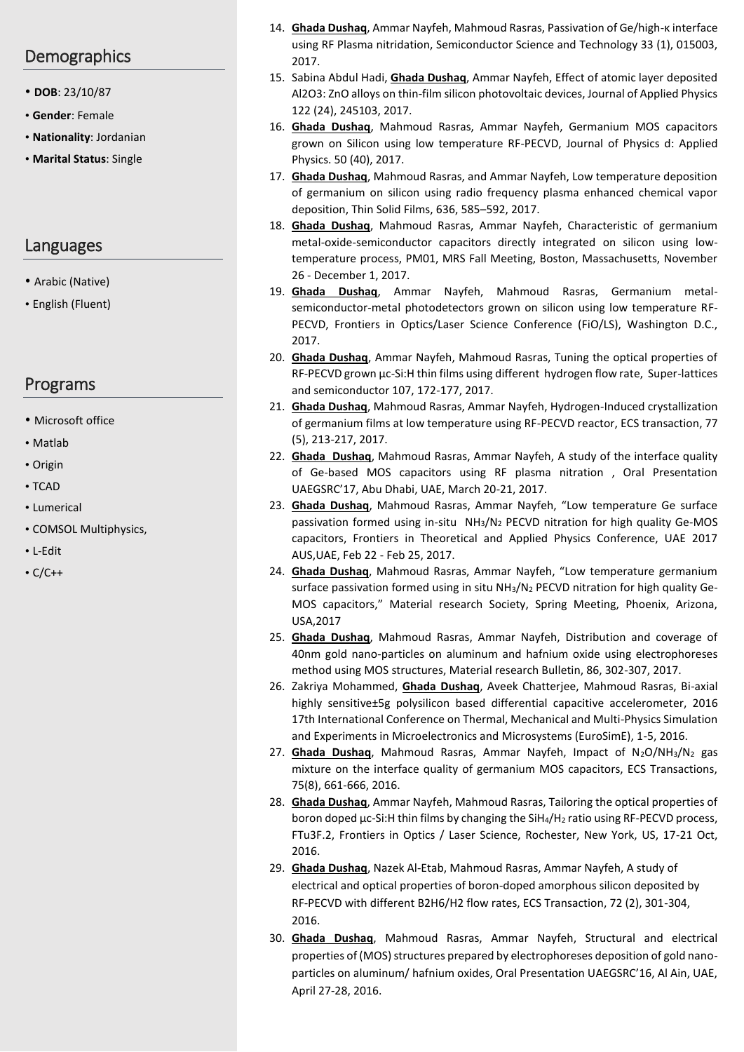### **Demographics**

- **DOB**: 23/10/87
- **Gender**: Female
- **Nationality**: Jordanian
- **Marital Status**: Single

### Languages

- Arabic (Native)
- English (Fluent)

### Programs

- Microsoft office
- Matlab
- Origin
- TCAD
- Lumerical
- COMSOL Multiphysics,
- L-Edit
- C/C++
- 14. **Ghada Dushaq**, Ammar Nayfeh, Mahmoud Rasras, Passivation of Ge/high-κ interface using RF Plasma nitridation, Semiconductor Science and Technology 33 (1), 015003, 2017.
- 15. Sabina Abdul Hadi, **Ghada Dushaq**, Ammar Nayfeh, Effect of atomic layer deposited Al2O3: ZnO alloys on thin-film silicon photovoltaic devices, Journal of Applied Physics 122 (24), 245103, 2017.
- 16. **Ghada Dushaq**, Mahmoud Rasras, Ammar Nayfeh, Germanium MOS capacitors grown on Silicon using low temperature RF-PECVD, Journal of Physics d: Applied Physics. 50 (40), 2017.
- 17. **Ghada Dushaq**, Mahmoud Rasras, and Ammar Nayfeh, Low temperature deposition of germanium on silicon using radio frequency plasma enhanced chemical vapor deposition, Thin Solid Films, 636, 585–592, 2017.
- 18. **Ghada Dushaq**, Mahmoud Rasras, Ammar Nayfeh, Characteristic of germanium metal-oxide-semiconductor capacitors directly integrated on silicon using lowtemperature process, PM01, MRS Fall Meeting, Boston, Massachusetts, November 26 - December 1, 2017.
- 19. **Ghada Dushaq**, Ammar Nayfeh, Mahmoud Rasras, Germanium metalsemiconductor-metal photodetectors grown on silicon using low temperature RF-PECVD, Frontiers in Optics/Laser Science Conference (FiO/LS), Washington D.C., 2017.
- 20. **Ghada Dushaq**, Ammar Nayfeh, Mahmoud Rasras, Tuning the optical properties of RF-PECVD grown µc-Si:H thin films using different hydrogen flow rate, Super-lattices and semiconductor 107, 172-177, 2017.
- 21. **Ghada Dushaq**, Mahmoud Rasras, Ammar Nayfeh, Hydrogen-Induced crystallization of germanium films at low temperature using RF-PECVD reactor, ECS transaction, 77 (5), 213-217, 2017.
- 22. **Ghada Dushaq**, Mahmoud Rasras, Ammar Nayfeh, A study of the interface quality of Ge-based MOS capacitors using RF plasma nitration , Oral Presentation UAEGSRC'17, Abu Dhabi, UAE, March 20-21, 2017.
- 23. **Ghada Dushaq**, Mahmoud Rasras, Ammar Nayfeh, "Low temperature Ge surface passivation formed using in-situ NH3/N<sup>2</sup> PECVD nitration for high quality Ge-MOS capacitors, Frontiers in Theoretical and Applied Physics Conference, UAE 2017 AUS,UAE, Feb 22 - Feb 25, 2017.
- 24. **Ghada Dushaq**, Mahmoud Rasras, Ammar Nayfeh, "Low temperature germanium surface passivation formed using in situ NH3/N<sup>2</sup> PECVD nitration for high quality Ge-MOS capacitors," Material research Society, Spring Meeting, Phoenix, Arizona, USA,2017
- 25. **Ghada Dushaq**, Mahmoud Rasras, Ammar Nayfeh, Distribution and coverage of 40nm gold nano-particles on aluminum and hafnium oxide using electrophoreses method using MOS structures, Material research Bulletin, 86, 302-307, 2017.
- 26. Zakriya Mohammed, **Ghada Dushaq**, Aveek Chatterjee, Mahmoud Rasras, Bi-axial highly sensitive±5g polysilicon based differential capacitive accelerometer, 2016 17th International Conference on Thermal, Mechanical and Multi-Physics Simulation and Experiments in Microelectronics and Microsystems (EuroSimE), 1-5, 2016.
- 27. **Ghada Dushaq**, Mahmoud Rasras, Ammar Nayfeh, Impact of N<sub>2</sub>O/NH<sub>3</sub>/N<sub>2</sub> gas mixture on the interface quality of germanium MOS capacitors, ECS Transactions, 75(8), 661-666, 2016.
- 28. **Ghada Dushaq**, Ammar Nayfeh, Mahmoud Rasras, Tailoring the optical properties of boron doped μc-Si:H thin films by changing the SiH4/H<sup>2</sup> ratio using RF-PECVD process, FTu3F.2, Frontiers in Optics / Laser Science, Rochester, New York, US, 17-21 Oct, 2016.
- 29. **Ghada Dushaq**, Nazek Al-Etab, Mahmoud Rasras, Ammar Nayfeh, A study of electrical and optical properties of boron-doped amorphous silicon deposited by RF-PECVD with different B2H6/H2 flow rates, ECS Transaction, 72 (2), 301-304, 2016.
- 30. **Ghada Dushaq**, Mahmoud Rasras, Ammar Nayfeh, Structural and electrical properties of (MOS) structures prepared by electrophoreses deposition of gold nanoparticles on aluminum/ hafnium oxides, Oral Presentation UAEGSRC'16, Al Ain, UAE, April 27-28, 2016.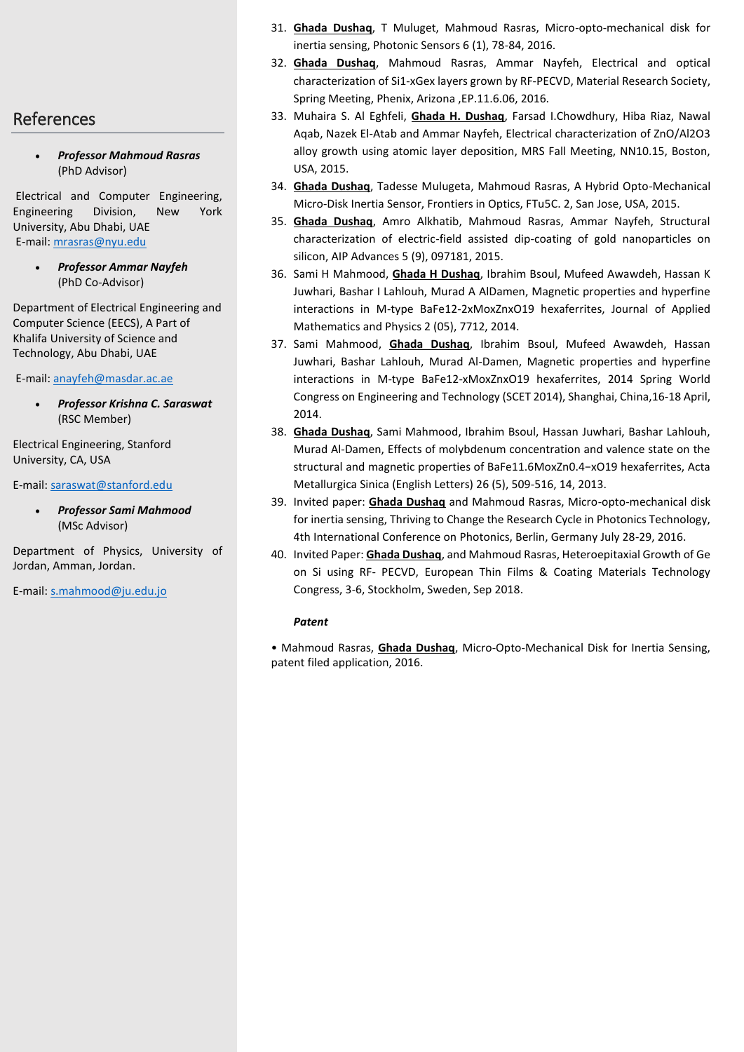### References

 *Professor Mahmoud Rasras* (PhD Advisor)

Electrical and Computer Engineering, Engineering Division, New York University, Abu Dhabi, UAE E-mail: [mrasras@nyu.edu](mailto:mrasras@nyu.edu)

> *Professor Ammar Nayfeh*  (PhD Co-Advisor)

Department of Electrical Engineering and Computer Science (EECS), A Part of Khalifa University of Science and Technology, Abu Dhabi, UAE

E-mail: [anayfeh@masdar.ac.ae](mailto:anayfeh@masdar.ac.ae)

 *Professor Krishna C. Saraswat* (RSC Member)

Electrical Engineering, Stanford University, CA, USA

E-mail[: saraswat@stanford.edu](mailto:saraswat@stanford.edu)

 *Professor Sami Mahmood*  (MSc Advisor)

Department of Physics, University of Jordan, Amman, Jordan.

E-mail[: s.mahmood@ju.edu.jo](mailto:s.mahmood@ju.edu.jo) 

- 31. **Ghada Dushaq**, T Muluget, Mahmoud Rasras, Micro-opto-mechanical disk for inertia sensing, Photonic Sensors 6 (1), 78-84, 2016.
- 32. **Ghada Dushaq**, Mahmoud Rasras, Ammar Nayfeh, Electrical and optical characterization of Si1-xGex layers grown by RF-PECVD, Material Research Society, Spring Meeting, Phenix, Arizona ,EP.11.6.06, 2016.
- 33. Muhaira S. Al Eghfeli, **Ghada H. Dushaq**, Farsad I.Chowdhury, Hiba Riaz, Nawal Aqab, Nazek El-Atab and Ammar Nayfeh, Electrical characterization of ZnO/Al2O3 alloy growth using atomic layer deposition, MRS Fall Meeting, NN10.15, Boston, USA, 2015.
- 34. **Ghada Dushaq**, Tadesse Mulugeta, Mahmoud Rasras, A Hybrid Opto-Mechanical Micro-Disk Inertia Sensor, Frontiers in Optics, FTu5C. 2, San Jose, USA, 2015.
- 35. **Ghada Dushaq**, Amro Alkhatib, Mahmoud Rasras, Ammar Nayfeh, Structural characterization of electric-field assisted dip-coating of gold nanoparticles on silicon, AIP Advances 5 (9), 097181, 2015.
- 36. Sami H Mahmood, **Ghada H Dushaq**, Ibrahim Bsoul, Mufeed Awawdeh, Hassan K Juwhari, Bashar I Lahlouh, Murad A AlDamen, Magnetic properties and hyperfine interactions in M-type BaFe12-2xMoxZnxO19 hexaferrites, Journal of Applied Mathematics and Physics 2 (05), 7712, 2014.
- 37. Sami Mahmood, **Ghada Dushaq**, Ibrahim Bsoul, Mufeed Awawdeh, Hassan Juwhari, Bashar Lahlouh, Murad Al-Damen, Magnetic properties and hyperfine interactions in M-type BaFe12-xMoxZnxO19 hexaferrites, 2014 Spring World Congress on Engineering and Technology (SCET 2014), Shanghai, China,16-18 April, 2014.
- 38. **Ghada Dushaq**, Sami Mahmood, Ibrahim Bsoul, Hassan Juwhari, Bashar Lahlouh, Murad Al-Damen, Effects of molybdenum concentration and valence state on the structural and magnetic properties of BaFe11.6MoxZn0.4−xO19 hexaferrites, Acta Metallurgica Sinica (English Letters) 26 (5), 509-516, 14, 2013.
- 39. Invited paper: **Ghada Dushaq** and Mahmoud Rasras, Micro-opto-mechanical disk for inertia sensing, Thriving to Change the Research Cycle in Photonics Technology, 4th International Conference on Photonics, Berlin, Germany July 28-29, 2016.
- 40. Invited Paper: **Ghada Dushaq**, and Mahmoud Rasras, Heteroepitaxial Growth of Ge on Si using RF- PECVD, European Thin Films & Coating Materials Technology Congress, 3-6, Stockholm, Sweden, Sep 2018.

#### *Patent*

• Mahmoud Rasras, **Ghada Dushaq**, Micro-Opto-Mechanical Disk for Inertia Sensing, patent filed application, 2016.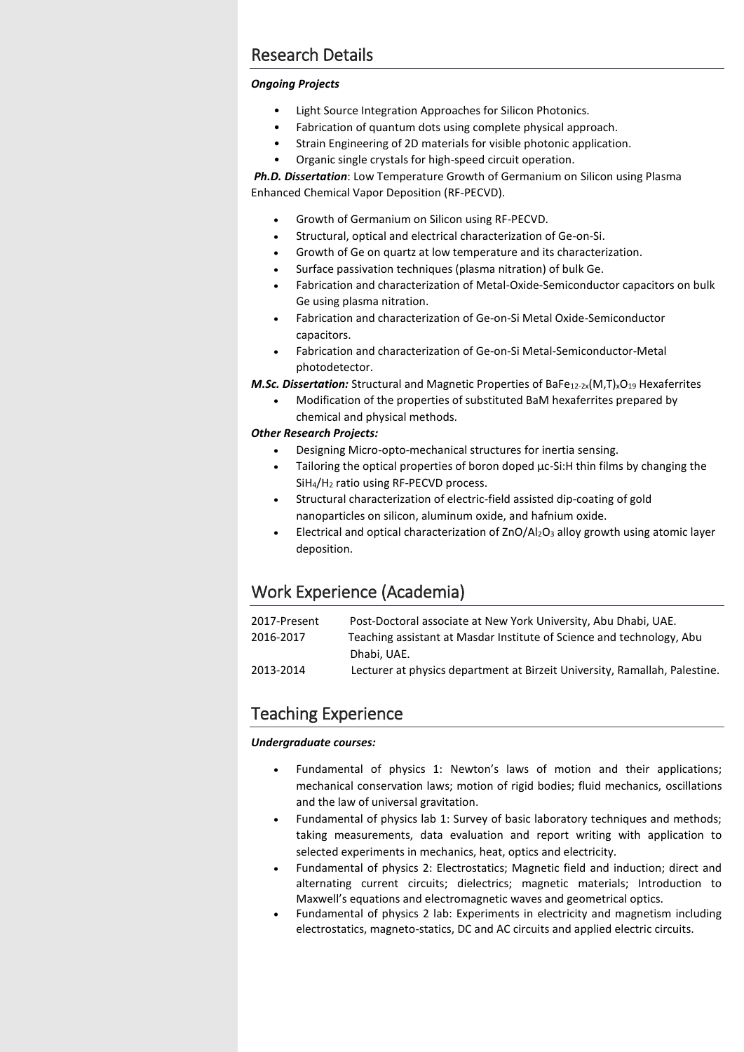## Research Details

#### *Ongoing Projects*

- Light Source Integration Approaches for Silicon Photonics.
- Fabrication of quantum dots using complete physical approach.
- Strain Engineering of 2D materials for visible photonic application.
- Organic single crystals for high-speed circuit operation.

*Ph.D. Dissertation*: Low Temperature Growth of Germanium on Silicon using Plasma Enhanced Chemical Vapor Deposition (RF-PECVD).

- Growth of Germanium on Silicon using RF-PECVD.
- Structural, optical and electrical characterization of Ge-on-Si.
- Growth of Ge on quartz at low temperature and its characterization.
- Surface passivation techniques (plasma nitration) of bulk Ge.
- Fabrication and characterization of Metal-Oxide-Semiconductor capacitors on bulk Ge using plasma nitration.
- Fabrication and characterization of Ge-on-Si Metal Oxide-Semiconductor capacitors.
- Fabrication and characterization of Ge-on-Si Metal-Semiconductor-Metal photodetector.

*M.Sc. Dissertation:* Structural and Magnetic Properties of BaFe<sub>12-2x</sub>(M,T)<sub>x</sub>O<sub>19</sub> Hexaferrites

 Modification of the properties of substituted BaM hexaferrites prepared by chemical and physical methods.

#### *Other Research Projects:*

- Designing Micro-opto-mechanical structures for inertia sensing.
- Tailoring the optical properties of boron doped μc-Si:H thin films by changing the SiH4/H<sup>2</sup> ratio using RF-PECVD process.
- Structural characterization of electric-field assisted dip-coating of gold nanoparticles on silicon, aluminum oxide, and hafnium oxide.
- Electrical and optical characterization of ZnO/Al2O<sup>3</sup> alloy growth using atomic layer deposition.

## Work Experience (Academia)

| Post-Doctoral associate at New York University, Abu Dhabi, UAE.            |
|----------------------------------------------------------------------------|
| Teaching assistant at Masdar Institute of Science and technology, Abu      |
| Dhabi, UAE.                                                                |
| Lecturer at physics department at Birzeit University, Ramallah, Palestine. |
|                                                                            |

## Teaching Experience

#### *Undergraduate courses:*

- Fundamental of physics 1: Newton's laws of motion and their applications; mechanical conservation laws; motion of rigid bodies; fluid mechanics, oscillations and the law of universal gravitation.
- Fundamental of physics lab 1: Survey of basic laboratory techniques and methods; taking measurements, data evaluation and report writing with application to selected experiments in mechanics, heat, optics and electricity.
- Fundamental of physics 2: Electrostatics; Magnetic field and induction; direct and alternating current circuits; dielectrics; magnetic materials; Introduction to Maxwell's equations and electromagnetic waves and geometrical optics.
- Fundamental of physics 2 lab: Experiments in electricity and magnetism including electrostatics, magneto-statics, DC and AC circuits and applied electric circuits.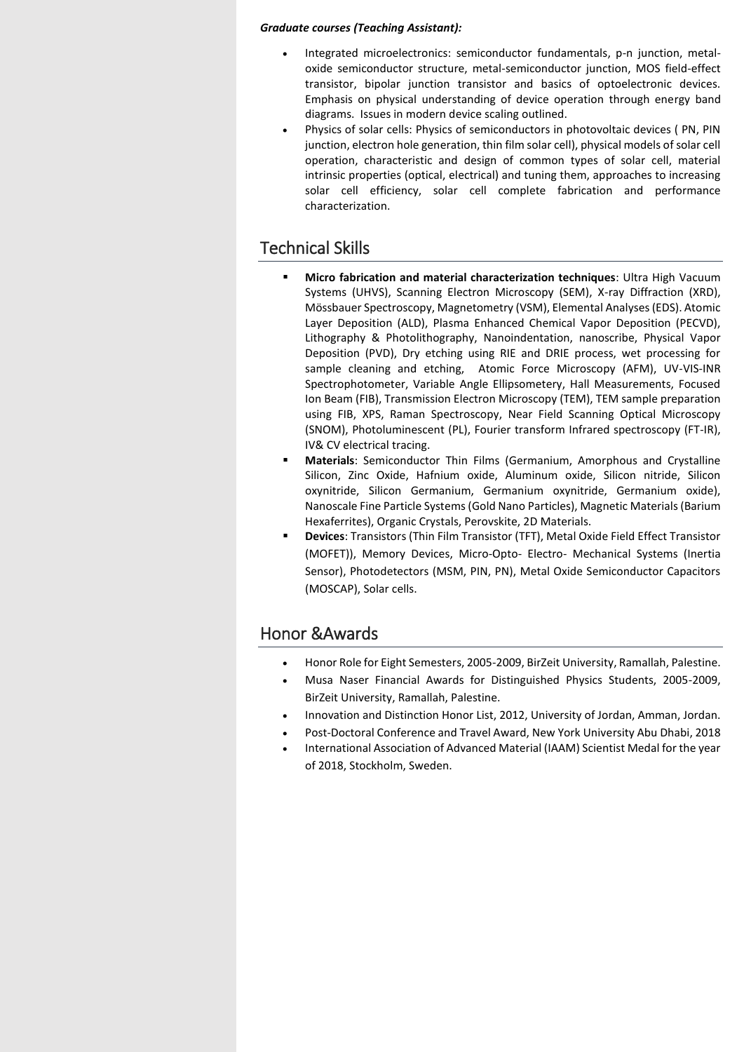#### *Graduate courses (Teaching Assistant):*

- Integrated microelectronics: semiconductor fundamentals, p-n junction, metaloxide semiconductor structure, metal-semiconductor junction, MOS field-effect transistor, bipolar junction transistor and basics of optoelectronic devices. Emphasis on physical understanding of device operation through energy band diagrams. Issues in modern device scaling outlined.
- Physics of solar cells: Physics of semiconductors in photovoltaic devices ( PN, PIN junction, electron hole generation, thin film solar cell), physical models of solar cell operation, characteristic and design of common types of solar cell, material intrinsic properties (optical, electrical) and tuning them, approaches to increasing solar cell efficiency, solar cell complete fabrication and performance characterization.

## Technical Skills

- **Micro fabrication and material characterization techniques**: Ultra High Vacuum Systems (UHVS), Scanning Electron Microscopy (SEM), X-ray Diffraction (XRD), Mössbauer Spectroscopy, Magnetometry (VSM), Elemental Analyses (EDS). Atomic Layer Deposition (ALD), Plasma Enhanced Chemical Vapor Deposition (PECVD), Lithography & Photolithography, Nanoindentation, nanoscribe, Physical Vapor Deposition (PVD), Dry etching using RIE and DRIE process, wet processing for sample cleaning and etching, Atomic Force Microscopy (AFM), UV-VIS-INR Spectrophotometer, Variable Angle Ellipsometery, Hall Measurements, Focused Ion Beam (FIB), Transmission Electron Microscopy (TEM), TEM sample preparation using FIB, XPS, Raman Spectroscopy, Near Field Scanning Optical Microscopy (SNOM), Photoluminescent (PL), Fourier transform Infrared spectroscopy (FT-IR), IV& CV electrical tracing.
- **Materials**: Semiconductor Thin Films (Germanium, Amorphous and Crystalline Silicon, Zinc Oxide, Hafnium oxide, Aluminum oxide, Silicon nitride, Silicon oxynitride, Silicon Germanium, Germanium oxynitride, Germanium oxide), Nanoscale Fine Particle Systems (Gold Nano Particles), Magnetic Materials (Barium Hexaferrites), Organic Crystals, Perovskite, 2D Materials.
- **Devices**: Transistors (Thin Film Transistor (TFT), Metal Oxide Field Effect Transistor (MOFET)), Memory Devices, Micro-Opto- Electro- Mechanical Systems (Inertia Sensor), Photodetectors (MSM, PIN, PN), Metal Oxide Semiconductor Capacitors (MOSCAP), Solar cells.

## Honor &Awards

- Honor Role for Eight Semesters, 2005-2009, BirZeit University, Ramallah, Palestine.
- Musa Naser Financial Awards for Distinguished Physics Students, 2005-2009, BirZeit University, Ramallah, Palestine.
- Innovation and Distinction Honor List, 2012, University of Jordan, Amman, Jordan.
- Post-Doctoral Conference and Travel Award, New York University Abu Dhabi, 2018
- International Association of Advanced Material (IAAM) Scientist Medal for the year of 2018, Stockholm, Sweden.